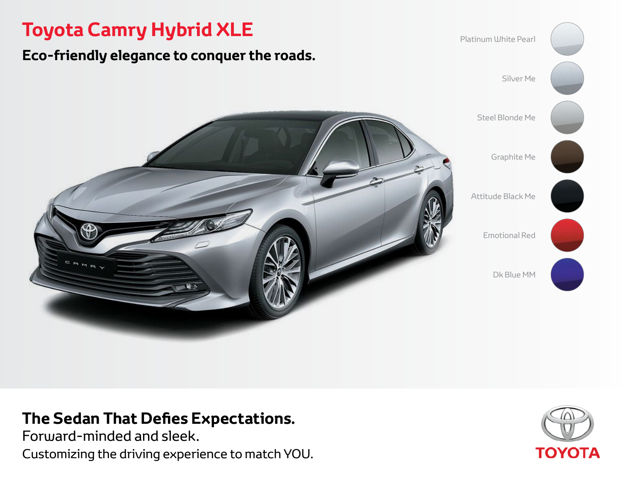# **Toyota Camry Hybrid XLE**

# **Eco-friendly elegance to conquer the roads.**



# **The Sedan That Defies Expectations.**

Forward-minded and sleek. Customizing the driving experience to match YOU.